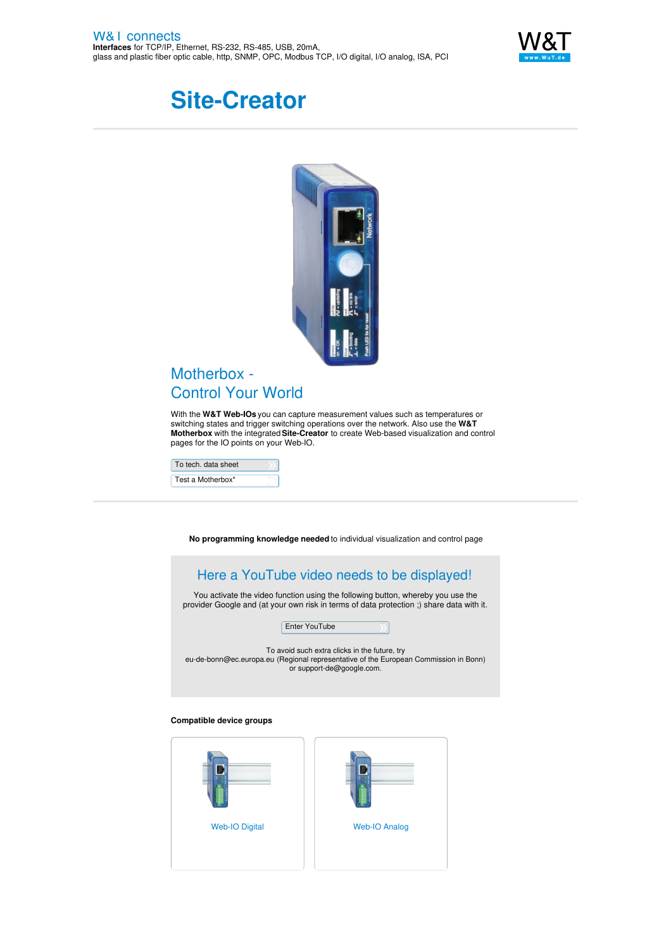

# **Site-Creator**



## Motherbox -Control Your World

With the **W&T Web-IOs** you can capture measurement values such as temperatures or switching states and trigger switching operations over the network. Also use the **W&T Motherbox** with the integrated**Site-Creator** to create Web-based visualization and control pages for the IO points on your Web-IO.

To tech. data [sheet](https://www.wut.de/e-50504-ww-daus-000.php) Test a Motherbox\*

**No programming knowledge needed** to individual visualization and control page

## Here a YouTube video needs to be displayed!

You activate the video function using the following button, whereby you use the provider Google and (at your own risk in terms of data protection ;) share data with it.



To avoid such extra clicks in the future, try [eu-de-bonn@ec.europa.eu](mailto:eu-de-bonn@ec.europa.eu) (Regional representative of the European Commission in Bonn) or [support-de@google.com](mailto:support-de@google.com).

#### **Compatible device groups**